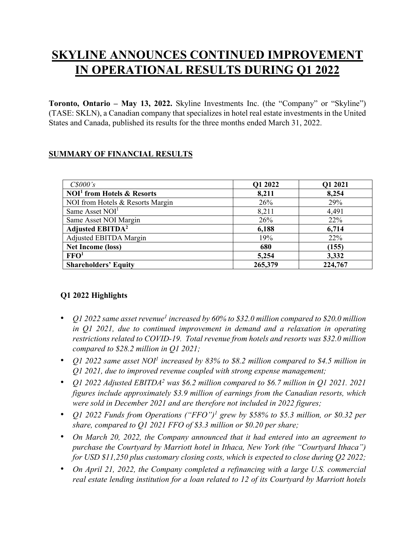# **SKYLINE ANNOUNCES CONTINUED IMPROVEMENT IN OPERATIONAL RESULTS DURING Q1 2022**

**Toronto, Ontario – May 13, 2022.** Skyline Investments Inc. (the "Company" or "Skyline") (TASE: SKLN), a Canadian company that specializes in hotel real estate investments in the United States and Canada, published its results for the three months ended March 31, 2022.

# **SUMMARY OF FINANCIAL RESULTS**

| $C\$000's$                         | Q1 2022 | Q1 2021 |
|------------------------------------|---------|---------|
| $NOI1$ from Hotels & Resorts       | 8,211   | 8,254   |
| NOI from Hotels & Resorts Margin   | 26%     | 29%     |
| Same Asset NOI <sup>1</sup>        | 8,211   | 4,491   |
| Same Asset NOI Margin              | 26%     | 22%     |
| <b>Adjusted EBITDA<sup>2</sup></b> | 6,188   | 6,714   |
| Adjusted EBITDA Margin             | 19%     | 22%     |
| <b>Net Income (loss)</b>           | 680     | (155)   |
| $\mathbf{FFO}^1$                   | 5,254   | 3,332   |
| <b>Shareholders' Equity</b>        | 265,379 | 224,767 |

# **Q1 2022 Highlights**

- *Q1 2022 same asset revenue<sup>1</sup> increased by 60% to \$32.0 million compared to \$20.0 million in Q1 2021, due to continued improvement in demand and a relaxation in operating restrictions related to COVID-19. Total revenue from hotels and resorts was \$32.0 million compared to \$28.2 million in Q1 2021;*
- *Q1 2022 same asset NOI1 increased by 83% to \$8.2 million compared to \$4.5 million in Q1 2021, due to improved revenue coupled with strong expense management;*
- *Q1 2022 Adjusted EBITDA2 was \$6.2 million compared to \$6.7 million in Q1 2021. 2021 figures include approximately \$3.9 million of earnings from the Canadian resorts, which were sold in December 2021 and are therefore not included in 2022 figures;*
- *Q1 2022 Funds from Operations ("FFO")1 grew by \$58% to \$5.3 million, or \$0.32 per share, compared to Q1 2021 FFO of \$3.3 million or \$0.20 per share;*
- *On March 20, 2022, the Company announced that it had entered into an agreement to purchase the Courtyard by Marriott hotel in Ithaca, New York (the "Courtyard Ithaca") for USD \$11,250 plus customary closing costs, which is expected to close during Q2 2022;*
- *On April 21, 2022, the Company completed a refinancing with a large U.S. commercial real estate lending institution for a loan related to 12 of its Courtyard by Marriott hotels*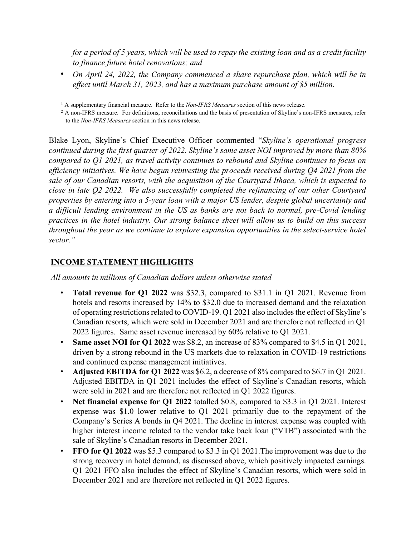*for a period of 5 years, which will be used to repay the existing loan and as a credit facility to finance future hotel renovations; and*

• *On April 24, 2022, the Company commenced a share repurchase plan, which will be in effect until March 31, 2023, and has a maximum purchase amount of \$5 million.* 

<sup>1</sup> A supplementary financial measure. Refer to the *Non-IFRS Measures* section of this news release.

<sup>2</sup> A non-IFRS measure. For definitions, reconciliations and the basis of presentation of Skyline's non-IFRS measures, refer to the *Non-IFRS Measures* section in this news release.

Blake Lyon, Skyline's Chief Executive Officer commented "*Skyline's operational progress continued during the first quarter of 2022. Skyline's same asset NOI improved by more than 80% compared to Q1 2021, as travel activity continues to rebound and Skyline continues to focus on efficiency initiatives. We have begun reinvesting the proceeds received during Q4 2021 from the sale of our Canadian resorts, with the acquisition of the Courtyard Ithaca, which is expected to close in late Q2 2022. We also successfully completed the refinancing of our other Courtyard properties by entering into a 5-year loan with a major US lender, despite global uncertainty and a difficult lending environment in the US as banks are not back to normal, pre-Covid lending practices in the hotel industry. Our strong balance sheet will allow us to build on this success throughout the year as we continue to explore expansion opportunities in the select-service hotel sector."* 

## **INCOME STATEMENT HIGHLIGHTS**

*All amounts in millions of Canadian dollars unless otherwise stated*

- **Total revenue for Q1 2022** was \$32.3, compared to \$31.1 in Q1 2021. Revenue from hotels and resorts increased by 14% to \$32.0 due to increased demand and the relaxation of operating restrictions related to COVID-19. Q1 2021 also includes the effect of Skyline's Canadian resorts, which were sold in December 2021 and are therefore not reflected in Q1 2022 figures. Same asset revenue increased by 60% relative to Q1 2021.
- **Same asset NOI for Q1 2022** was \$8.2, an increase of 83% compared to \$4.5 in Q1 2021, driven by a strong rebound in the US markets due to relaxation in COVID-19 restrictions and continued expense management initiatives.
- **Adjusted EBITDA for Q1 2022** was \$6.2, a decrease of 8% compared to \$6.7 in Q1 2021. Adjusted EBITDA in Q1 2021 includes the effect of Skyline's Canadian resorts, which were sold in 2021 and are therefore not reflected in Q1 2022 figures.
- **Net financial expense for Q1 2022** totalled \$0.8, compared to \$3.3 in Q1 2021. Interest expense was \$1.0 lower relative to Q1 2021 primarily due to the repayment of the Company's Series A bonds in Q4 2021. The decline in interest expense was coupled with higher interest income related to the vendor take back loan ("VTB") associated with the sale of Skyline's Canadian resorts in December 2021.
- **FFO for Q1 2022** was \$5.3 compared to \$3.3 in Q1 2021. The improvement was due to the strong recovery in hotel demand, as discussed above, which positively impacted earnings. Q1 2021 FFO also includes the effect of Skyline's Canadian resorts, which were sold in December 2021 and are therefore not reflected in Q1 2022 figures.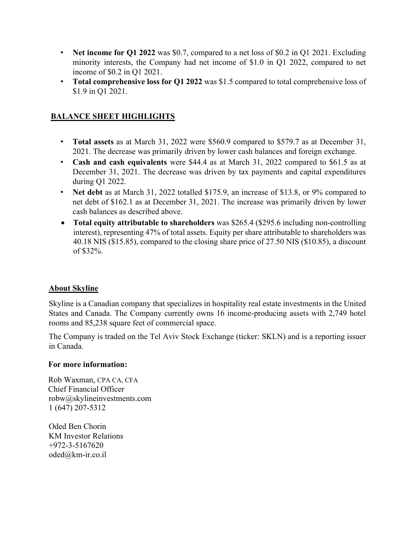- **Net income for Q1 2022** was \$0.7, compared to a net loss of \$0.2 in Q1 2021. Excluding minority interests, the Company had net income of \$1.0 in Q1 2022, compared to net income of \$0.2 in Q1 2021.
- **Total comprehensive loss for Q1 2022** was \$1.5 compared to total comprehensive loss of \$1.9 in Q1 2021.

# **BALANCE SHEET HIGHLIGHTS**

- **Total assets** as at March 31, 2022 were \$560.9 compared to \$579.7 as at December 31, 2021. The decrease was primarily driven by lower cash balances and foreign exchange.
- **Cash and cash equivalents** were \$44.4 as at March 31, 2022 compared to \$61.5 as at December 31, 2021. The decrease was driven by tax payments and capital expenditures during Q1 2022.
- **Net debt** as at March 31, 2022 totalled \$175.9, an increase of \$13.8, or 9% compared to net debt of \$162.1 as at December 31, 2021. The increase was primarily driven by lower cash balances as described above.
- **Total equity attributable to shareholders** was \$265.4 (\$295.6 including non-controlling interest), representing 47% of total assets. Equity per share attributable to shareholders was 40.18 NIS (\$15.85), compared to the closing share price of 27.50 NIS (\$10.85), a discount of \$32%.

## **About Skyline**

Skyline is a Canadian company that specializes in hospitality real estate investments in the United States and Canada. The Company currently owns 16 income-producing assets with 2,749 hotel rooms and 85,238 square feet of commercial space.

The Company is traded on the Tel Aviv Stock Exchange (ticker: SKLN) and is a reporting issuer in Canada.

## **For more information:**

Rob Waxman, CPA CA, CFA Chief Financial Officer robw@skylineinvestments.com 1 (647) 207-5312

Oded Ben Chorin KM Investor Relations +972-3-5167620 oded@km-ir.co.il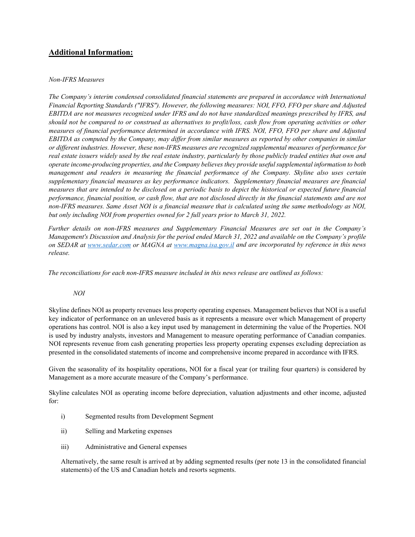## **Additional Information:**

#### *Non-IFRS Measures*

*The Company's interim condensed consolidated financial statements are prepared in accordance with International Financial Reporting Standards ("IFRS"). However, the following measures: NOI, FFO, FFO per share and Adjusted EBITDA are not measures recognized under IFRS and do not have standardized meanings prescribed by IFRS, and should not be compared to or construed as alternatives to profit/loss, cash flow from operating activities or other measures of financial performance determined in accordance with IFRS. NOI, FFO, FFO per share and Adjusted EBITDA as computed by the Company, may differ from similar measures as reported by other companies in similar or different industries. However, these non-IFRS measures are recognized supplemental measures of performance for real estate issuers widely used by the real estate industry, particularly by those publicly traded entities that own and operate income-producing properties, and the Company believes they provide useful supplemental information to both management and readers in measuring the financial performance of the Company. Skyline also uses certain supplementary financial measures as key performance indicators. Supplementary financial measures are financial measures that are intended to be disclosed on a periodic basis to depict the historical or expected future financial performance, financial position, or cash flow, that are not disclosed directly in the financial statements and are not non-IFRS measures. Same Asset NOI is a financial measure that is calculated using the same methodology as NOI, but only including NOI from properties owned for 2 full years prior to March 31, 2022.*

*Further details on non-IFRS measures and Supplementary Financial Measures are set out in the Company's Management's Discussion and Analysis for the period ended March 31, 2022 and available on the Company's profile on SEDAR at www.sedar.com or MAGNA at www.magna.isa.gov.il and are incorporated by reference in this news release.* 

*The reconciliations for each non-IFRS measure included in this news release are outlined as follows:*

## *NOI*

Skyline defines NOI as property revenues less property operating expenses. Management believes that NOI is a useful key indicator of performance on an unlevered basis as it represents a measure over which Management of property operations has control. NOI is also a key input used by management in determining the value of the Properties. NOI is used by industry analysts, investors and Management to measure operating performance of Canadian companies. NOI represents revenue from cash generating properties less property operating expenses excluding depreciation as presented in the consolidated statements of income and comprehensive income prepared in accordance with IFRS.

Given the seasonality of its hospitality operations, NOI for a fiscal year (or trailing four quarters) is considered by Management as a more accurate measure of the Company's performance.

Skyline calculates NOI as operating income before depreciation, valuation adjustments and other income, adjusted for:

- i) Segmented results from Development Segment
- ii) Selling and Marketing expenses
- iii) Administrative and General expenses

Alternatively, the same result is arrived at by adding segmented results (per note 13 in the consolidated financial statements) of the US and Canadian hotels and resorts segments.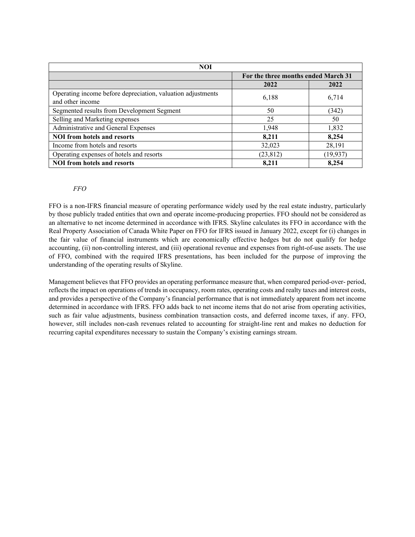| <b>NOI</b>                                                                      |                                     |           |  |  |
|---------------------------------------------------------------------------------|-------------------------------------|-----------|--|--|
|                                                                                 | For the three months ended March 31 |           |  |  |
|                                                                                 | 2022                                | 2022      |  |  |
| Operating income before depreciation, valuation adjustments<br>and other income | 6,188                               | 6,714     |  |  |
| Segmented results from Development Segment                                      | 50                                  | (342)     |  |  |
| Selling and Marketing expenses                                                  | 25                                  | 50        |  |  |
| Administrative and General Expenses                                             | 1,948                               | 1,832     |  |  |
| <b>NOI from hotels and resorts</b>                                              | 8,211                               | 8,254     |  |  |
| Income from hotels and resorts                                                  | 32,023                              | 28,191    |  |  |
| Operating expenses of hotels and resorts                                        | (23, 812)                           | (19, 937) |  |  |
| <b>NOI</b> from hotels and resorts                                              | 8,211                               | 8,254     |  |  |

## *FFO*

FFO is a non-IFRS financial measure of operating performance widely used by the real estate industry, particularly by those publicly traded entities that own and operate income-producing properties. FFO should not be considered as an alternative to net income determined in accordance with IFRS. Skyline calculates its FFO in accordance with the Real Property Association of Canada White Paper on FFO for IFRS issued in January 2022, except for (i) changes in the fair value of financial instruments which are economically effective hedges but do not qualify for hedge accounting, (ii) non-controlling interest, and (iii) operational revenue and expenses from right-of-use assets. The use of FFO, combined with the required IFRS presentations, has been included for the purpose of improving the understanding of the operating results of Skyline.

Management believes that FFO provides an operating performance measure that, when compared period-over- period, reflects the impact on operations of trends in occupancy, room rates, operating costs and realty taxes and interest costs, and provides a perspective of the Company's financial performance that is not immediately apparent from net income determined in accordance with IFRS. FFO adds back to net income items that do not arise from operating activities, such as fair value adjustments, business combination transaction costs, and deferred income taxes, if any. FFO, however, still includes non-cash revenues related to accounting for straight-line rent and makes no deduction for recurring capital expenditures necessary to sustain the Company's existing earnings stream.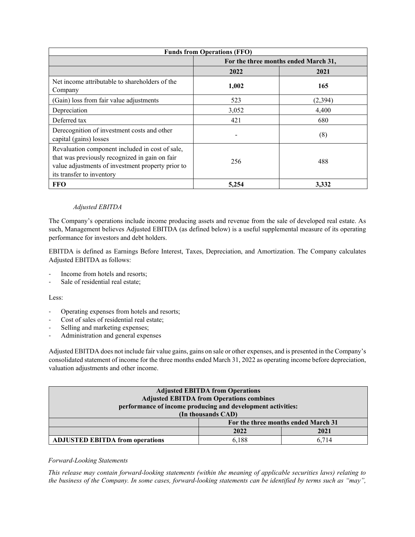| <b>Funds from Operations (FFO)</b>                                                                                                                                                  |                                      |         |  |
|-------------------------------------------------------------------------------------------------------------------------------------------------------------------------------------|--------------------------------------|---------|--|
|                                                                                                                                                                                     | For the three months ended March 31, |         |  |
|                                                                                                                                                                                     | 2022                                 | 2021    |  |
| Net income attributable to shareholders of the<br>Company                                                                                                                           | 1,002                                | 165     |  |
| (Gain) loss from fair value adjustments                                                                                                                                             | 523                                  | (2,394) |  |
| Depreciation                                                                                                                                                                        | 3,052                                | 4,400   |  |
| Deferred tax                                                                                                                                                                        | 421                                  | 680     |  |
| Derecognition of investment costs and other<br>capital (gains) losses                                                                                                               |                                      | (8)     |  |
| Revaluation component included in cost of sale,<br>that was previously recognized in gain on fair<br>value adjustments of investment property prior to<br>its transfer to inventory | 256                                  | 488     |  |
| <b>FFO</b>                                                                                                                                                                          | 5,254                                | 3,332   |  |

## *Adjusted EBITDA*

The Company's operations include income producing assets and revenue from the sale of developed real estate. As such, Management believes Adjusted EBITDA (as defined below) is a useful supplemental measure of its operating performance for investors and debt holders.

EBITDA is defined as Earnings Before Interest, Taxes, Depreciation, and Amortization. The Company calculates Adjusted EBITDA as follows:

- Income from hotels and resorts:
- Sale of residential real estate;

#### Less:

- Operating expenses from hotels and resorts;
- Cost of sales of residential real estate;
- Selling and marketing expenses;
- Administration and general expenses

Adjusted EBITDA does not include fair value gains, gains on sale or other expenses, and is presented in the Company's consolidated statement of income for the three months ended March 31, 2022 as operating income before depreciation, valuation adjustments and other income.

| <b>Adjusted EBITDA from Operations</b>                      |                                     |       |  |  |
|-------------------------------------------------------------|-------------------------------------|-------|--|--|
| <b>Adjusted EBITDA from Operations combines</b>             |                                     |       |  |  |
| performance of income producing and development activities: |                                     |       |  |  |
| (In thousands CAD)                                          |                                     |       |  |  |
|                                                             | For the three months ended March 31 |       |  |  |
|                                                             | 2022                                | 2021  |  |  |
| <b>ADJUSTED EBITDA from operations</b>                      | 6.188                               | 6.714 |  |  |

#### *Forward-Looking Statements*

*This release may contain forward-looking statements (within the meaning of applicable securities laws) relating to the business of the Company. In some cases, forward-looking statements can be identified by terms such as "may",*